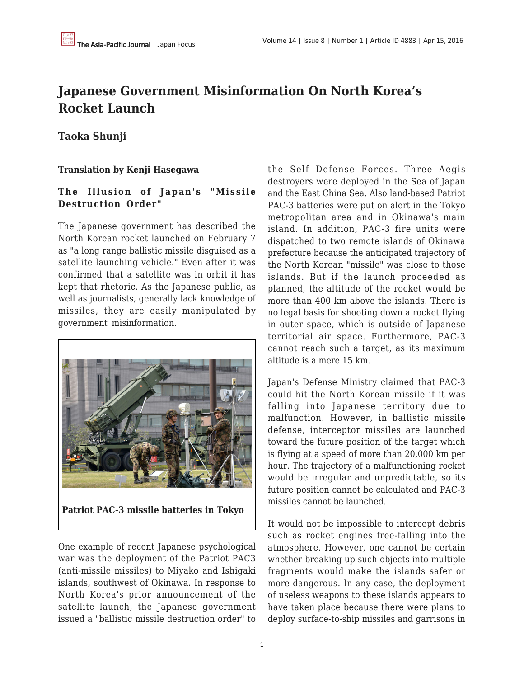# **Japanese Government Misinformation On North Korea's Rocket Launch**

# **Taoka Shunji**

## **Translation by Kenji Hasegawa**

## **The Illusion of Japan's "Missile Destruction Order"**

The Japanese government has described the North Korean rocket launched on February 7 as "a long range ballistic missile disguised as a satellite launching vehicle." Even after it was confirmed that a satellite was in orbit it has kept that rhetoric. As the Japanese public, as well as journalists, generally lack knowledge of missiles, they are easily manipulated by government misinformation.



**Patriot PAC-3 missile batteries in Tokyo**

One example of recent Japanese psychological war was the deployment of the Patriot PAC3 (anti-missile missiles) to Miyako and Ishigaki islands, southwest of Okinawa. In response to North Korea's prior announcement of the satellite launch, the Japanese government issued a "ballistic missile destruction order" to the Self Defense Forces. Three Aegis destroyers were deployed in the Sea of Japan and the East China Sea. Also land-based Patriot PAC-3 batteries were put on alert in the Tokyo metropolitan area and in Okinawa's main island. In addition, PAC-3 fire units were dispatched to two remote islands of Okinawa prefecture because the anticipated trajectory of the North Korean "missile" was close to those islands. But if the launch proceeded as planned, the altitude of the rocket would be more than 400 km above the islands. There is no legal basis for shooting down a rocket flying in outer space, which is outside of Japanese territorial air space. Furthermore, PAC-3 cannot reach such a target, as its maximum altitude is a mere 15 km.

Japan's Defense Ministry claimed that PAC-3 could hit the North Korean missile if it was falling into Japanese territory due to malfunction. However, in ballistic missile defense, interceptor missiles are launched toward the future position of the target which is flying at a speed of more than 20,000 km per hour. The trajectory of a malfunctioning rocket would be irregular and unpredictable, so its future position cannot be calculated and PAC-3 missiles cannot be launched.

It would not be impossible to intercept debris such as rocket engines free-falling into the atmosphere. However, one cannot be certain whether breaking up such objects into multiple fragments would make the islands safer or more dangerous. In any case, the deployment of useless weapons to these islands appears to have taken place because there were plans to deploy surface-to-ship missiles and garrisons in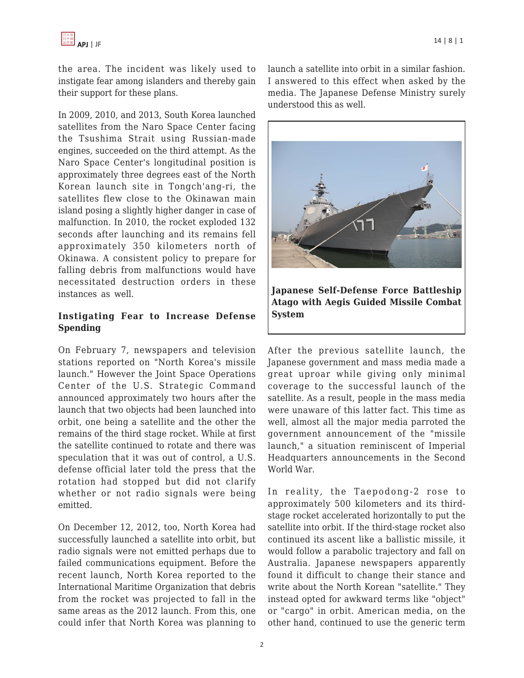

the area. The incident was likely used to instigate fear among islanders and thereby gain their support for these plans.

In 2009, 2010, and 2013, South Korea launched satellites from the Naro Space Center facing the Tsushima Strait using Russian-made engines, succeeded on the third attempt. As the Naro Space Center's longitudinal position is approximately three degrees east of the North Korean launch site in Tongch'ang-ri, the satellites flew close to the Okinawan main island posing a slightly higher danger in case of malfunction. In 2010, the rocket exploded 132 seconds after launching and its remains fell approximately 350 kilometers north of Okinawa. A consistent policy to prepare for falling debris from malfunctions would have necessitated destruction orders in these instances as well.

### **Instigating Fear to Increase Defense Spending**

On February 7, newspapers and television stations reported on "North Korea's missile launch." However the Joint Space Operations Center of the U.S. Strategic Command announced approximately two hours after the launch that two objects had been launched into orbit, one being a satellite and the other the remains of the third stage rocket. While at first the satellite continued to rotate and there was speculation that it was out of control, a U.S. defense official later told the press that the rotation had stopped but did not clarify whether or not radio signals were being emitted.

On December 12, 2012, too, North Korea had successfully launched a satellite into orbit, but radio signals were not emitted perhaps due to failed communications equipment. Before the recent launch, North Korea reported to the International Maritime Organization that debris from the rocket was projected to fall in the same areas as the 2012 launch. From this, one could infer that North Korea was planning to launch a satellite into orbit in a similar fashion. I answered to this effect when asked by the media. The Japanese Defense Ministry surely understood this as well.



After the previous satellite launch, the Japanese government and mass media made a great uproar while giving only minimal coverage to the successful launch of the satellite. As a result, people in the mass media were unaware of this latter fact. This time as well, almost all the major media parroted the government announcement of the "missile launch," a situation reminiscent of Imperial Headquarters announcements in the Second World War.

In reality, the Taepodong-2 rose to approximately 500 kilometers and its thirdstage rocket accelerated horizontally to put the satellite into orbit. If the third-stage rocket also continued its ascent like a ballistic missile, it would follow a parabolic trajectory and fall on Australia. Japanese newspapers apparently found it difficult to change their stance and write about the North Korean "satellite." They instead opted for awkward terms like "object" or "cargo" in orbit. American media, on the other hand, continued to use the generic term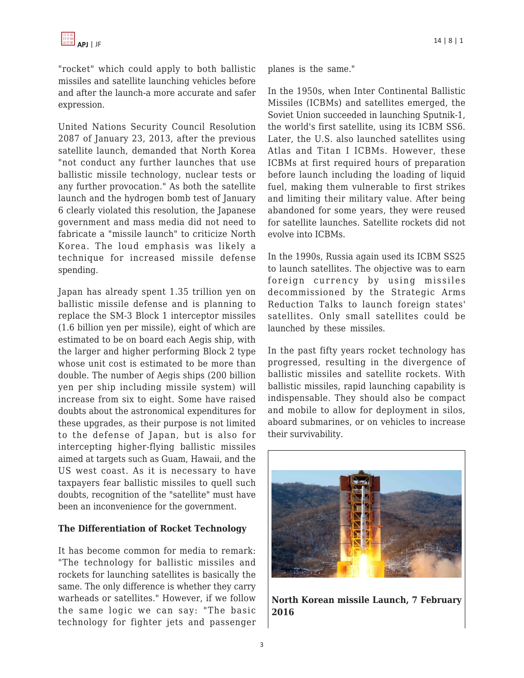"rocket" which could apply to both ballistic missiles and satellite launching vehicles before and after the launch-a more accurate and safer expression.

United Nations Security Council Resolution 2087 of January 23, 2013, after the previous satellite launch, demanded that North Korea "not conduct any further launches that use ballistic missile technology, nuclear tests or any further provocation." As both the satellite launch and the hydrogen bomb test of January 6 clearly violated this resolution, the Japanese government and mass media did not need to fabricate a "missile launch" to criticize North Korea. The loud emphasis was likely a technique for increased missile defense spending.

Japan has already spent 1.35 trillion yen on ballistic missile defense and is planning to replace the SM-3 Block 1 interceptor missiles (1.6 billion yen per missile), eight of which are estimated to be on board each Aegis ship, with the larger and higher performing Block 2 type whose unit cost is estimated to be more than double. The number of Aegis ships (200 billion yen per ship including missile system) will increase from six to eight. Some have raised doubts about the astronomical expenditures for these upgrades, as their purpose is not limited to the defense of Japan, but is also for intercepting higher-flying ballistic missiles aimed at targets such as Guam, Hawaii, and the US west coast. As it is necessary to have taxpayers fear ballistic missiles to quell such doubts, recognition of the "satellite" must have been an inconvenience for the government.

#### **The Differentiation of Rocket Technology**

It has become common for media to remark: "The technology for ballistic missiles and rockets for launching satellites is basically the same. The only difference is whether they carry warheads or satellites." However, if we follow the same logic we can say: "The basic technology for fighter jets and passenger planes is the same."

In the 1950s, when Inter Continental Ballistic Missiles (ICBMs) and satellites emerged, the Soviet Union succeeded in launching Sputnik-1, the world's first satellite, using its ICBM SS6. Later, the U.S. also launched satellites using Atlas and Titan I ICBMs. However, these ICBMs at first required hours of preparation before launch including the loading of liquid fuel, making them vulnerable to first strikes and limiting their military value. After being abandoned for some years, they were reused for satellite launches. Satellite rockets did not evolve into ICBMs.

In the 1990s, Russia again used its ICBM SS25 to launch satellites. The objective was to earn foreign currency by using missiles decommissioned by the Strategic Arms Reduction Talks to launch foreign states' satellites. Only small satellites could be launched by these missiles.

In the past fifty years rocket technology has progressed, resulting in the divergence of ballistic missiles and satellite rockets. With ballistic missiles, rapid launching capability is indispensable. They should also be compact and mobile to allow for deployment in silos, aboard submarines, or on vehicles to increase their survivability.



**North Korean missile Launch, 7 February 2016**